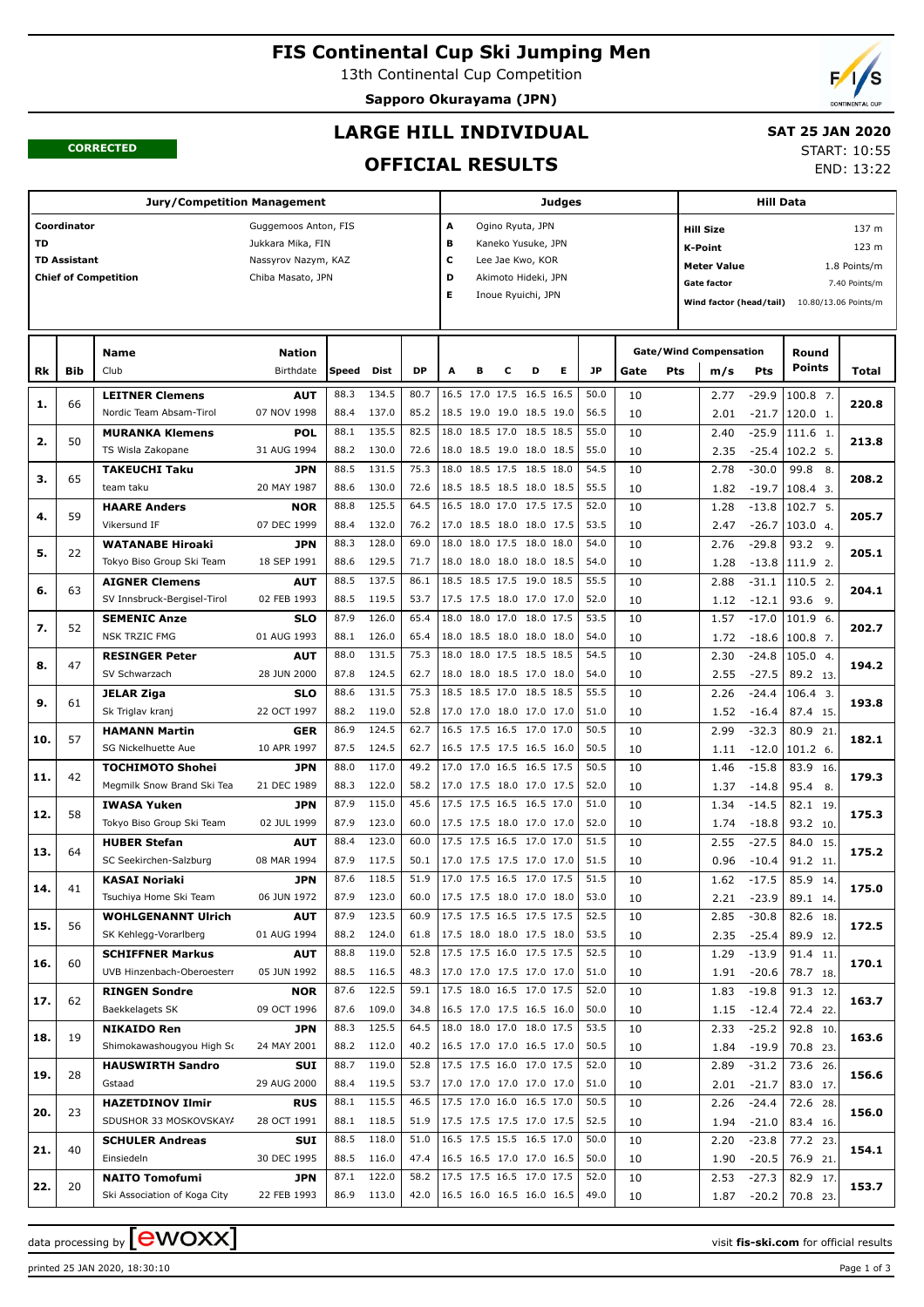# **FIS Continental Cup Ski Jumping Men**

13th Continental Cup Competition

**Sapporo Okurayama (JPN)**



#### **CORRECTED**

## **LARGE HILL INDIVIDUAL**

## **SAT 25 JAN 2020**

START: 10:55 END: 13:22

## **OFFICIAL RESULTS**

|     |                     | <b>Jury/Competition Management</b> |                      |       |       |      |                          |   |   |                          | Judges |           |      |     |                               | <b>Hill Data</b> |                      |               |
|-----|---------------------|------------------------------------|----------------------|-------|-------|------|--------------------------|---|---|--------------------------|--------|-----------|------|-----|-------------------------------|------------------|----------------------|---------------|
|     | Coordinator         |                                    | Guggemoos Anton, FIS |       |       |      | Α                        |   |   | Ogino Ryuta, JPN         |        |           |      |     | <b>Hill Size</b>              |                  |                      | 137 m         |
| TD  |                     |                                    | Jukkara Mika, FIN    |       |       |      | в                        |   |   | Kaneko Yusuke, JPN       |        |           |      |     | K-Point                       |                  |                      | 123 m         |
|     | <b>TD Assistant</b> |                                    | Nassyrov Nazym, KAZ  |       |       |      | c                        |   |   | Lee Jae Kwo, KOR         |        |           |      |     | <b>Meter Value</b>            |                  |                      | 1.8 Points/m  |
|     |                     | <b>Chief of Competition</b>        | Chiba Masato, JPN    |       |       |      | D                        |   |   | Akimoto Hideki, JPN      |        |           |      |     | <b>Gate factor</b>            |                  |                      |               |
|     |                     |                                    |                      |       |       |      | Е                        |   |   | Inoue Ryuichi, JPN       |        |           |      |     |                               |                  |                      | 7.40 Points/m |
|     |                     |                                    |                      |       |       |      |                          |   |   |                          |        |           |      |     | Wind factor (head/tail)       |                  | 10.80/13.06 Points/m |               |
|     |                     |                                    |                      |       |       |      |                          |   |   |                          |        |           |      |     |                               |                  |                      |               |
|     |                     | Name                               | <b>Nation</b>        |       |       |      |                          |   |   |                          |        |           |      |     | <b>Gate/Wind Compensation</b> |                  | Round                |               |
| Rk  | Bib                 | Club                               | Birthdate            | Speed | Dist  | DP   | A                        | в | с | D                        | Е      | <b>JP</b> | Gate | Pts | m/s                           | <b>Pts</b>       | Points               | Total         |
|     |                     |                                    |                      |       |       |      |                          |   |   |                          |        |           |      |     |                               |                  |                      |               |
| 1.  | 66                  | <b>LEITNER Clemens</b>             | <b>AUT</b>           | 88.3  | 134.5 | 80.7 |                          |   |   | 16.5 17.0 17.5 16.5 16.5 |        | 50.0      | 10   |     | 2.77                          | -29.9            | 100.8 7.             | 220.8         |
|     |                     | Nordic Team Absam-Tirol            | 07 NOV 1998          | 88.4  | 137.0 | 85.2 |                          |   |   | 18.5 19.0 19.0 18.5 19.0 |        | 56.5      | 10   |     | 2.01                          | $-21.7$          | 120.0 1.             |               |
| 2.  | 50                  | <b>MURANKA Klemens</b>             | POL                  | 88.1  | 135.5 | 82.5 |                          |   |   | 18.0 18.5 17.0 18.5 18.5 |        | 55.0      | 10   |     | 2.40                          | $-25.9$          | 111.6 1.             | 213.8         |
|     |                     | TS Wisla Zakopane                  | 31 AUG 1994          | 88.2  | 130.0 | 72.6 |                          |   |   | 18.0 18.5 19.0 18.0 18.5 |        | 55.0      | 10   |     | 2.35                          | $-25.4$          | 102.2 5.             |               |
| з.  | 65                  | <b>TAKEUCHI Taku</b>               | <b>JPN</b>           | 88.5  | 131.5 | 75.3 |                          |   |   | 18.0 18.5 17.5 18.5 18.0 |        | 54.5      | 10   |     | 2.78                          | $-30.0$          | 99.8<br>8.           | 208.2         |
|     |                     | team taku                          | 20 MAY 1987          | 88.6  | 130.0 | 72.6 | 18.5 18.5 18.5 18.0 18.5 |   |   |                          |        | 55.5      | 10   |     | 1.82                          | $-19.7$          | 108.4 3.             |               |
| 4.  | 59                  | <b>HAARE Anders</b>                | <b>NOR</b>           | 88.8  | 125.5 | 64.5 |                          |   |   | 16.5 18.0 17.0 17.5 17.5 |        | 52.0      | 10   |     | 1.28                          | $-13.8$          | 102.7 5.             | 205.7         |
|     |                     | Vikersund IF                       | 07 DEC 1999          | 88.4  | 132.0 | 76.2 | 17.0 18.5 18.0 18.0 17.5 |   |   |                          |        | 53.5      | 10   |     | 2.47                          | $-26.7$          | 103.0 4.             |               |
| 5.  | 22                  | <b>WATANABE Hiroaki</b>            | <b>JPN</b>           | 88.3  | 128.0 | 69.0 |                          |   |   | 18.0 18.0 17.5 18.0 18.0 |        | 54.0      | 10   |     | 2.76                          | $-29.8$          | 93.2<br>9.           | 205.1         |
|     |                     | Tokyo Biso Group Ski Team          | 18 SEP 1991          | 88.6  | 129.5 | 71.7 |                          |   |   | 18.0 18.0 18.0 18.0 18.5 |        | 54.0      | 10   |     | 1.28                          | $-13.8$          | 111.9 2.             |               |
|     |                     | <b>AIGNER Clemens</b>              | <b>AUT</b>           | 88.5  | 137.5 | 86.1 |                          |   |   | 18.5 18.5 17.5 19.0 18.5 |        | 55.5      | 10   |     | 2.88                          | $-31.1$          | 110.5 2.             |               |
| 6.  | 63                  | SV Innsbruck-Bergisel-Tirol        | 02 FEB 1993          | 88.5  | 119.5 | 53.7 | 17.5 17.5 18.0 17.0 17.0 |   |   |                          |        | 52.0      | 10   |     | 1.12                          | $-12.1$          | 93.6 9.              | 204.1         |
|     |                     | <b>SEMENIC Anze</b>                | <b>SLO</b>           | 87.9  | 126.0 | 65.4 |                          |   |   | 18.0 18.0 17.0 18.0 17.5 |        | 53.5      | 10   |     | 1.57                          | $-17.0$          | 101.9 6.             |               |
| 7.  | 52                  | <b>NSK TRZIC FMG</b>               | 01 AUG 1993          | 88.1  | 126.0 | 65.4 |                          |   |   | 18.0 18.5 18.0 18.0 18.0 |        | 54.0      | 10   |     | 1.72                          | $-18.6$          | 100.8 7.             | 202.7         |
|     |                     | <b>RESINGER Peter</b>              | <b>AUT</b>           | 88.0  | 131.5 | 75.3 |                          |   |   | 18.0 18.0 17.5 18.5 18.5 |        | 54.5      | 10   |     | 2.30                          | $-24.8$          | 105.0 4.             |               |
| 8.  | 47                  | SV Schwarzach                      | 28 JUN 2000          | 87.8  | 124.5 | 62.7 |                          |   |   | 18.0 18.0 18.5 17.0 18.0 |        | 54.0      | 10   |     | 2.55                          | $-27.5$          | 89.2 13.             | 194.2         |
|     |                     | <b>JELAR Ziga</b>                  | <b>SLO</b>           | 88.6  | 131.5 | 75.3 |                          |   |   | 18.5 18.5 17.0 18.5 18.5 |        | 55.5      | 10   |     | 2.26                          | $-24.4$          | 106.4 3.             |               |
| 9.  | 61                  | Sk Triglav kranj                   | 22 OCT 1997          | 88.2  | 119.0 | 52.8 | 17.0 17.0 18.0 17.0 17.0 |   |   |                          |        | 51.0      | 10   |     | 1.52                          | $-16.4$          | 87.4 15.             | 193.8         |
|     |                     | <b>HAMANN Martin</b>               | <b>GER</b>           | 86.9  | 124.5 | 62.7 |                          |   |   | 16.5 17.5 16.5 17.0 17.0 |        | 50.5      | 10   |     | 2.99                          | $-32.3$          | 80.9 21              |               |
| 10. | 57                  | SG Nickelhuette Aue                | 10 APR 1997          | 87.5  | 124.5 | 62.7 |                          |   |   | 16.5 17.5 17.5 16.5 16.0 |        | 50.5      | 10   |     | 1.11                          | $-12.0$          | $101.2$ 6.           | 182.1         |
|     |                     | <b>TOCHIMOTO Shohei</b>            | <b>JPN</b>           | 88.0  | 117.0 | 49.2 | 17.0 17.0 16.5 16.5 17.5 |   |   |                          |        | 50.5      | 10   |     | 1.46                          | $-15.8$          | 83.9 16.             |               |
| 11. | 42                  | Megmilk Snow Brand Ski Tea         | 21 DEC 1989          | 88.3  | 122.0 | 58.2 | 17.0 17.5 18.0 17.0 17.5 |   |   |                          |        | 52.0      | 10   |     | 1.37                          | $-14.8$          | 95.4<br>8.           | 179.3         |
|     |                     | <b>IWASA Yuken</b>                 | <b>JPN</b>           | 87.9  | 115.0 | 45.6 | 17.5 17.5 16.5 16.5 17.0 |   |   |                          |        | 51.0      | 10   |     | 1.34                          | $-14.5$          | 82.1 19.             |               |
| 12. | 58                  | Tokyo Biso Group Ski Team          | 02 JUL 1999          | 87.9  | 123.0 | 60.0 | 17.5 17.5 18.0 17.0 17.0 |   |   |                          |        | 52.0      | 10   |     | 1.74                          | $-18.8$          | 93.2 10.             | 175.3         |
|     |                     | <b>HUBER Stefan</b>                | <b>AUT</b>           | 88.4  | 123.0 | 60.0 | 17.5 17.5 16.5 17.0 17.0 |   |   |                          |        | 51.5      | 10   |     | 2.55                          | $-27.5$          | 84.0 15.             |               |
| 13. | 64                  | SC Seekirchen-Salzburg             | 08 MAR 1994          | 87.9  | 117.5 | 50.1 |                          |   |   | 17.0 17.5 17.5 17.0 17.0 |        | 51.5      | 10   |     | 0.96                          | $-10.4$          | 91.2 11.             | 175.2         |
|     |                     | <b>KASAI Noriaki</b>               | <b>JPN</b>           | 87.6  | 118.5 | 51.9 | 17.0 17.5 16.5 17.0 17.5 |   |   |                          |        | 51.5      | 10   |     | 1.62                          | $-17.5$          | 85.9 14.             |               |
| 14  | 41                  | Tsuchiya Home Ski Team             | 06 JUN 1972          | 87.9  | 123.0 | 60.0 | 17.5 17.5 18.0 17.0 18.0 |   |   |                          |        | 53.0      | 10   |     | 2.21                          | $-23.9$          | 89.1 14.             | 175.0         |
|     |                     | <b>WOHLGENANNT Ulrich</b>          | <b>AUT</b>           | 87.9  | 123.5 | 60.9 | 17.5 17.5 16.5 17.5 17.5 |   |   |                          |        | 52.5      | 10   |     | 2.85                          | $-30.8$          | 82.6 18.             |               |
| 15. | 56                  | SK Kehlegg-Vorarlberg              | 01 AUG 1994          | 88.2  | 124.0 | 61.8 | 17.5 18.0 18.0 17.5 18.0 |   |   |                          |        | 53.5      | 10   |     | 2.35                          | $-25.4$          | 89.9 12.             | 172.5         |
|     |                     | <b>SCHIFFNER Markus</b>            |                      | 88.8  | 119.0 | 52.8 | 17.5 17.5 16.0 17.5 17.5 |   |   |                          |        | 52.5      |      |     | 1.29                          |                  |                      |               |
| 16. | 60                  |                                    | <b>AUT</b>           |       | 116.5 | 48.3 | 17.0 17.0 17.5 17.0 17.0 |   |   |                          |        |           | 10   |     |                               | $-13.9$          | 91.4 11.             | 170.1         |
|     |                     | UVB Hinzenbach-Oberoesterr         | 05 JUN 1992          | 88.5  |       | 59.1 | 17.5 18.0 16.5 17.0 17.5 |   |   |                          |        | 51.0      | 10   |     | 1.91                          | $-20.6$          | 78.7 18.             |               |
| 17. | 62                  | <b>RINGEN Sondre</b>               | <b>NOR</b>           | 87.6  | 122.5 |      |                          |   |   |                          |        | 52.0      | 10   |     | 1.83                          | $-19.8$          | 91.3 12.             | 163.7         |
|     |                     | Baekkelagets SK                    | 09 OCT 1996          | 87.6  | 109.0 | 34.8 | 16.5 17.0 17.5 16.5 16.0 |   |   |                          |        | 50.0      | 10   |     | 1.15                          | $-12.4$          | 72.4 22.             |               |
| 18. | 19                  | <b>NIKAIDO Ren</b>                 | JPN                  | 88.3  | 125.5 | 64.5 | 18.0 18.0 17.0 18.0 17.5 |   |   |                          |        | 53.5      | 10   |     | 2.33                          | $-25.2$          | 92.8 10.             | 163.6         |
|     |                     | Shimokawashougyou High So          | 24 MAY 2001          | 88.2  | 112.0 | 40.2 | 16.5 17.0 17.0 16.5 17.0 |   |   |                          |        | 50.5      | 10   |     | 1.84                          | $-19.9$          | 70.8 23.             |               |
| 19. | 28                  | <b>HAUSWIRTH Sandro</b>            | SUI                  | 88.7  | 119.0 | 52.8 | 17.5 17.5 16.0 17.0 17.5 |   |   |                          |        | 52.0      | 10   |     | 2.89                          | $-31.2$          | 73.6 26.             | 156.6         |
|     |                     | Gstaad                             | 29 AUG 2000          | 88.4  | 119.5 | 53.7 | 17.0 17.0 17.0 17.0 17.0 |   |   |                          |        | 51.0      | 10   |     | 2.01                          | $-21.7$          | 83.0 17.             |               |
| 20. | 23                  | <b>HAZETDINOV Ilmir</b>            | <b>RUS</b>           | 88.1  | 115.5 | 46.5 | 17.5 17.0 16.0 16.5 17.0 |   |   |                          |        | 50.5      | 10   |     | 2.26                          | $-24.4$          | 72.6 28.             | 156.0         |
|     |                     | SDUSHOR 33 MOSKOVSKAY/             | 28 OCT 1991          | 88.1  | 118.5 | 51.9 | 17.5 17.5 17.5 17.0 17.5 |   |   |                          |        | 52.5      | 10   |     | 1.94                          | $-21.0$          | 83.4 16.             |               |
| 21. | 40                  | <b>SCHULER Andreas</b>             | SUI                  | 88.5  | 118.0 | 51.0 | 16.5 17.5 15.5 16.5 17.0 |   |   |                          |        | 50.0      | 10   |     | 2.20                          | $-23.8$          | 77.2 23.             | 154.1         |
|     |                     | Einsiedeln                         | 30 DEC 1995          | 88.5  | 116.0 | 47.4 | 16.5 16.5 17.0 17.0 16.5 |   |   |                          |        | 50.0      | 10   |     | 1.90                          | $-20.5$          | 76.9 21.             |               |
| 22. | 20                  | <b>NAITO Tomofumi</b>              | JPN                  | 87.1  | 122.0 | 58.2 | 17.5 17.5 16.5 17.0 17.5 |   |   |                          |        | 52.0      | 10   |     | 2.53                          | $-27.3$          | 82.9 17.             | 153.7         |
|     |                     | Ski Association of Koga City       | 22 FEB 1993          | 86.9  | 113.0 | 42.0 | 16.5 16.0 16.5 16.0 16.5 |   |   |                          |        | 49.0      | 10   |     | 1.87                          | $-20.2$          | 70.8 23.             |               |

printed 25 JAN 2020, 18:30:10 Page 1 of 3

data processing by **CWOXX**  $\blacksquare$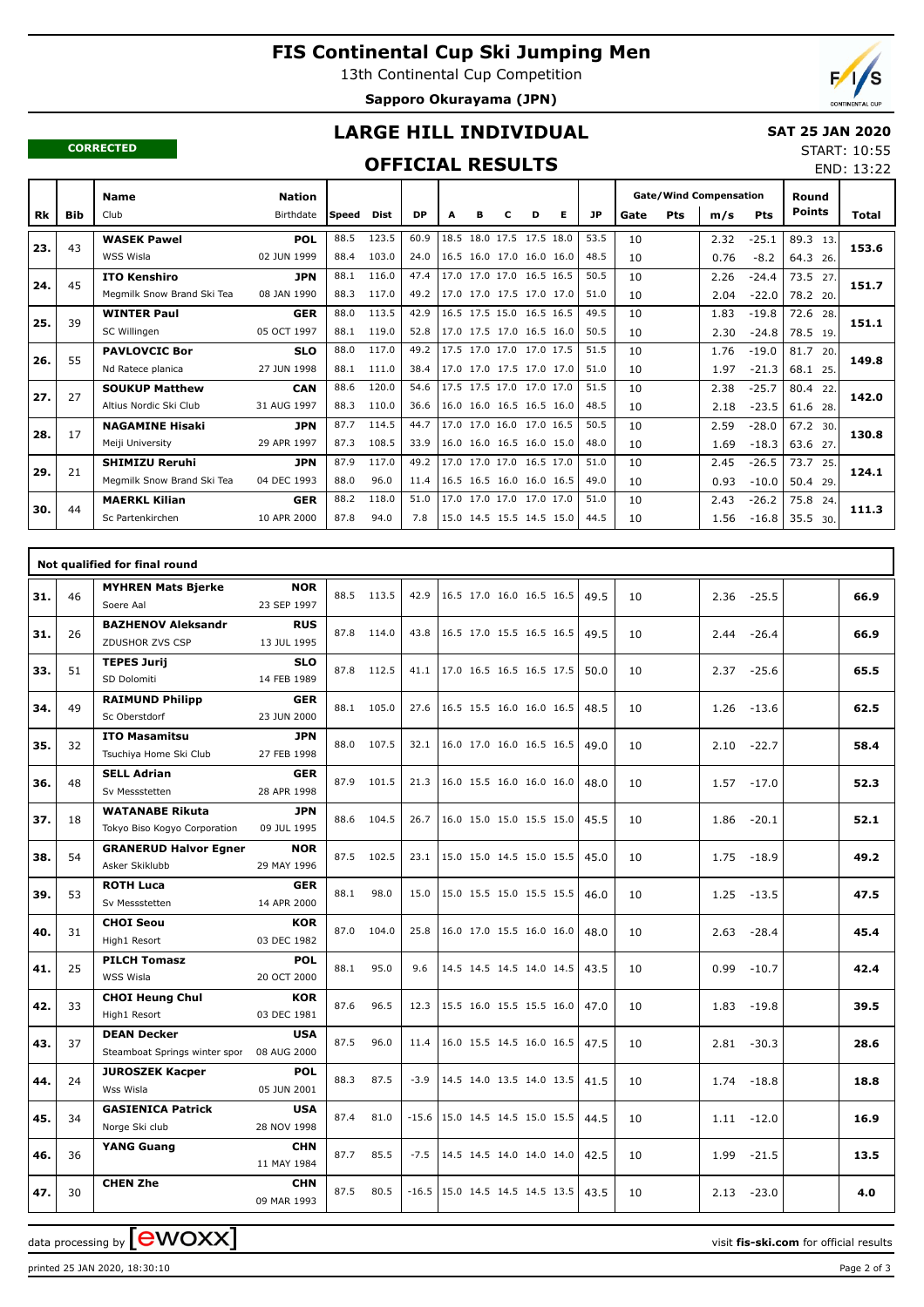# **FIS Continental Cup Ski Jumping Men**

13th Continental Cup Competition

**Sapporo Okurayama (JPN)**



END: 13:22

#### **CORRECTED**

## **LARGE HILL INDIVIDUAL**

#### **SAT 25 JAN 2020** START: 10:55

### **OFFICIAL RESULTS**

|     |            | <b>Name</b>                | <b>Nation</b> |              |       |           |      |   |   |                          |   |      |      |     | <b>Gate/Wind Compensation</b> |            | Round         |       |
|-----|------------|----------------------------|---------------|--------------|-------|-----------|------|---|---|--------------------------|---|------|------|-----|-------------------------------|------------|---------------|-------|
| Rk  | <b>Bib</b> | Club                       | Birthdate     | <b>Speed</b> | Dist  | <b>DP</b> | A    | в | с | D                        | Е | JP   | Gate | Pts | m/s                           | <b>Pts</b> | <b>Points</b> | Total |
|     | 43         | <b>WASEK Pawel</b>         | <b>POL</b>    | 88.5         | 123.5 | 60.9      | 18.5 |   |   | 18.0 17.5 17.5 18.0      |   | 53.5 | 10   |     | 2.32                          | $-25.1$    | 89.3<br>13.   |       |
| 23. |            | WSS Wisla                  | 02 JUN 1999   | 88.4         | 103.0 | 24.0      |      |   |   | 16.5 16.0 17.0 16.0 16.0 |   | 48.5 | 10   |     | 0.76                          | $-8.2$     | 64.3<br>26.   | 153.6 |
| 24. | 45         | <b>ITO Kenshiro</b>        | <b>JPN</b>    | 88.1         | 116.0 | 47.4      |      |   |   | 17.0 17.0 17.0 16.5 16.5 |   | 50.5 | 10   |     | 2.26                          | $-24.4$    | 73.5<br>27.   | 151.7 |
|     |            | Megmilk Snow Brand Ski Tea | 08 JAN 1990   | 88.3         | 117.0 | 49.2      |      |   |   | 17.0 17.0 17.5 17.0 17.0 |   | 51.0 | 10   |     | 2.04                          | $-22.0$    | 78.2 20.      |       |
| 25. | 39         | <b>WINTER Paul</b>         | <b>GER</b>    | 88.0         | 113.5 | 42.9      |      |   |   | 16.5 17.5 15.0 16.5 16.5 |   | 49.5 | 10   |     | 1.83                          | $-19.8$    | 72.6<br>28.   | 151.1 |
|     |            | SC Willingen               | 05 OCT 1997   | 88.1         | 119.0 | 52.8      |      |   |   | 17.0 17.5 17.0 16.5 16.0 |   | 50.5 | 10   |     | 2.30                          | $-24.8$    | 78.5 19.      |       |
| 26. | 55         | <b>PAVLOVCIC Bor</b>       | <b>SLO</b>    | 88.0         | 117.0 | 49.2      |      |   |   | 17.5 17.0 17.0 17.0 17.5 |   | 51.5 | 10   |     | 1.76                          | $-19.0$    | 81.7<br>20.   | 149.8 |
|     |            | Nd Ratece planica          | 27 JUN 1998   | 88.1         | 111.0 | 38.4      |      |   |   | 17.0 17.0 17.5 17.0 17.0 |   | 51.0 | 10   |     | 1.97                          | $-21.3$    | 68.1 25.      |       |
| 27. | 27         | <b>SOUKUP Matthew</b>      | <b>CAN</b>    | 88.6         | 120.0 | 54.6      |      |   |   | 17.5 17.5 17.0 17.0 17.0 |   | 51.5 | 10   |     | 2.38                          | $-25.7$    | 80.4<br>22    | 142.0 |
|     |            | Altius Nordic Ski Club     | 31 AUG 1997   | 88.3         | 110.0 | 36.6      |      |   |   | 16.0 16.0 16.5 16.5 16.0 |   | 48.5 | 10   |     | 2.18                          | $-23.5$    | 61.6 28.      |       |
| 28. | 17         | <b>NAGAMINE Hisaki</b>     | <b>JPN</b>    | 87.7         | 114.5 | 44.7      |      |   |   | 17.0 17.0 16.0 17.0 16.5 |   | 50.5 | 10   |     | 2.59                          | $-28.0$    | 67.2 30.      | 130.8 |
|     |            | Meiji University           | 29 APR 1997   | 87.3         | 108.5 | 33.9      |      |   |   | 16.0 16.0 16.5 16.0 15.0 |   | 48.0 | 10   |     | 1.69                          | $-18.3$    | 63.6 27.      |       |
| 29. | 21         | <b>SHIMIZU Reruhi</b>      | <b>JPN</b>    | 87.9         | 117.0 | 49.2      |      |   |   | 17.0 17.0 17.0 16.5 17.0 |   | 51.0 | 10   |     | 2.45                          | $-26.5$    | 73.7<br>25.   | 124.1 |
|     |            | Megmilk Snow Brand Ski Tea | 04 DEC 1993   | 88.0         | 96.0  | 11.4      |      |   |   | 16.5 16.5 16.0 16.0 16.5 |   | 49.0 | 10   |     | 0.93                          | $-10.0$    | 50.4 29.      |       |
| 30. | 44         | <b>MAERKL Kilian</b>       | <b>GER</b>    | 88.2         | 118.0 | 51.0      |      |   |   | 17.0 17.0 17.0 17.0 17.0 |   | 51.0 | 10   |     | 2.43                          | $-26.2$    | 75.8<br>24.   | 111.3 |
|     |            | Sc Partenkirchen           | 10 APR 2000   | 87.8         | 94.0  | 7.8       |      |   |   | 15.0 14.5 15.5 14.5 15.0 |   | 44.5 | 10   |     | 1.56                          | $-16.8$    | 35.5 30.      |       |

|     |    | Not qualified for final round                          |                           |      |            |         |                                    |  |      |    |                 |      |
|-----|----|--------------------------------------------------------|---------------------------|------|------------|---------|------------------------------------|--|------|----|-----------------|------|
| 31. | 46 | <b>MYHREN Mats Bjerke</b><br>Soere Aal                 | <b>NOR</b><br>23 SEP 1997 |      | 88.5 113.5 | 42.9    | 16.5 17.0 16.0 16.5 16.5           |  | 49.5 | 10 | 2.36<br>$-25.5$ | 66.9 |
| 31. | 26 | <b>BAZHENOV Aleksandr</b><br>ZDUSHOR ZVS CSP           | <b>RUS</b><br>13 JUL 1995 |      | 87.8 114.0 | 43.8    | 16.5 17.0 15.5 16.5 16.5           |  | 49.5 | 10 | 2.44<br>$-26.4$ | 66.9 |
| 33. | 51 | <b>TEPES Jurij</b><br>SD Dolomiti                      | <b>SLO</b><br>14 FEB 1989 |      | 87.8 112.5 | 41.1    | 17.0 16.5 16.5 16.5 17.5           |  | 50.0 | 10 | $-25.6$<br>2.37 | 65.5 |
| 34. | 49 | <b>RAIMUND Philipp</b><br>Sc Oberstdorf                | <b>GER</b><br>23 JUN 2000 |      | 88.1 105.0 | 27.6    | 16.5 15.5 16.0 16.0 16.5           |  | 48.5 | 10 | 1.26<br>$-13.6$ | 62.5 |
| 35. | 32 | <b>ITO Masamitsu</b><br>Tsuchiya Home Ski Club         | <b>JPN</b><br>27 FEB 1998 |      | 88.0 107.5 | 32.1    | 16.0 17.0 16.0 16.5 16.5           |  | 49.0 | 10 | 2.10<br>$-22.7$ | 58.4 |
| 36. | 48 | <b>SELL Adrian</b><br>Sv Messstetten                   | <b>GER</b><br>28 APR 1998 |      | 87.9 101.5 | 21.3    | 16.0 15.5 16.0 16.0 16.0           |  | 48.0 | 10 | 1.57<br>$-17.0$ | 52.3 |
| 37. | 18 | <b>WATANABE Rikuta</b><br>Tokyo Biso Kogyo Corporation | <b>JPN</b><br>09 JUL 1995 |      | 88.6 104.5 | 26.7    | 16.0 15.0 15.0 15.5 15.0           |  | 45.5 | 10 | 1.86<br>$-20.1$ | 52.1 |
| 38. | 54 | <b>GRANERUD Halvor Egner</b><br>Asker Skiklubb         | <b>NOR</b><br>29 MAY 1996 |      | 87.5 102.5 | 23.1    | 15.0 15.0 14.5 15.0 15.5           |  | 45.0 | 10 | 1.75<br>$-18.9$ | 49.2 |
| 39. | 53 | <b>ROTH Luca</b><br>Sv Messstetten                     | <b>GER</b><br>14 APR 2000 | 88.1 | 98.0       | 15.0    | 15.0 15.5 15.0 15.5 15.5           |  | 46.0 | 10 | 1.25<br>$-13.5$ | 47.5 |
| 40. | 31 | <b>CHOI Seou</b><br>High1 Resort                       | <b>KOR</b><br>03 DEC 1982 | 87.0 | 104.0      | 25.8    | 16.0 17.0 15.5 16.0 16.0           |  | 48.0 | 10 | 2.63<br>$-28.4$ | 45.4 |
| 41. | 25 | <b>PILCH Tomasz</b><br>WSS Wisla                       | <b>POL</b><br>20 OCT 2000 | 88.1 | 95.0       | 9.6     | 14.5 14.5 14.5 14.0 14.5           |  | 43.5 | 10 | 0.99<br>$-10.7$ | 42.4 |
| 42. | 33 | <b>CHOI Heung Chul</b><br>High1 Resort                 | <b>KOR</b><br>03 DEC 1981 | 87.6 | 96.5       | 12.3    | 15.5 16.0 15.5 15.5 16.0           |  | 47.0 | 10 | 1.83<br>$-19.8$ | 39.5 |
| 43. | 37 | <b>DEAN Decker</b><br>Steamboat Springs winter spor    | <b>USA</b><br>08 AUG 2000 | 87.5 | 96.0       | 11.4    | 16.0 15.5 14.5 16.0 16.5           |  | 47.5 | 10 | 2.81<br>$-30.3$ | 28.6 |
| 44. | 24 | <b>JUROSZEK Kacper</b><br>Wss Wisla                    | <b>POL</b><br>05 JUN 2001 | 88.3 | 87.5       | $-3.9$  | 14.5 14.0 13.5 14.0 13.5           |  | 41.5 | 10 | $-18.8$<br>1.74 | 18.8 |
| 45. | 34 | <b>GASIENICA Patrick</b><br>Norge Ski club             | <b>USA</b><br>28 NOV 1998 | 87.4 | 81.0       |         | $-15.6$   15.0 14.5 14.5 15.0 15.5 |  | 44.5 | 10 | $-12.0$<br>1.11 | 16.9 |
| 46. | 36 | <b>YANG Guang</b>                                      | <b>CHN</b><br>11 MAY 1984 | 87.7 | 85.5       | $-7.5$  | 14.5 14.5 14.0 14.0 14.0           |  | 42.5 | 10 | 1.99<br>$-21.5$ | 13.5 |
| 47. | 30 | <b>CHEN Zhe</b>                                        | <b>CHN</b><br>09 MAR 1993 | 87.5 | 80.5       | $-16.5$ | 15.0 14.5 14.5 14.5 13.5           |  | 43.5 | 10 | 2.13<br>$-23.0$ | 4.0  |

data processing by **CWOXX**  $\blacksquare$